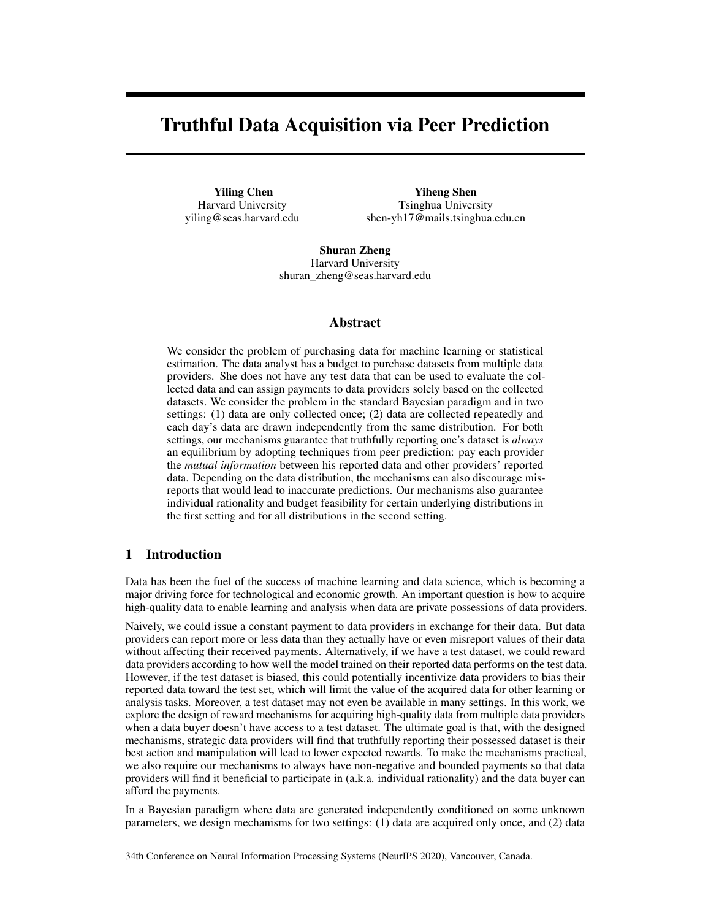# Truthful Data Acquisition via Peer Prediction

Yiling Chen Harvard University yiling@seas.harvard.edu

Yiheng Shen Tsinghua University shen-yh17@mails.tsinghua.edu.cn

Shuran Zheng Harvard University shuran\_zheng@seas.harvard.edu

## Abstract

We consider the problem of purchasing data for machine learning or statistical estimation. The data analyst has a budget to purchase datasets from multiple data providers. She does not have any test data that can be used to evaluate the collected data and can assign payments to data providers solely based on the collected datasets. We consider the problem in the standard Bayesian paradigm and in two settings: (1) data are only collected once; (2) data are collected repeatedly and each day's data are drawn independently from the same distribution. For both settings, our mechanisms guarantee that truthfully reporting one's dataset is *always* an equilibrium by adopting techniques from peer prediction: pay each provider the *mutual information* between his reported data and other providers' reported data. Depending on the data distribution, the mechanisms can also discourage misreports that would lead to inaccurate predictions. Our mechanisms also guarantee individual rationality and budget feasibility for certain underlying distributions in the first setting and for all distributions in the second setting.

# 1 Introduction

Data has been the fuel of the success of machine learning and data science, which is becoming a major driving force for technological and economic growth. An important question is how to acquire high-quality data to enable learning and analysis when data are private possessions of data providers.

Naively, we could issue a constant payment to data providers in exchange for their data. But data providers can report more or less data than they actually have or even misreport values of their data without affecting their received payments. Alternatively, if we have a test dataset, we could reward data providers according to how well the model trained on their reported data performs on the test data. However, if the test dataset is biased, this could potentially incentivize data providers to bias their reported data toward the test set, which will limit the value of the acquired data for other learning or analysis tasks. Moreover, a test dataset may not even be available in many settings. In this work, we explore the design of reward mechanisms for acquiring high-quality data from multiple data providers when a data buyer doesn't have access to a test dataset. The ultimate goal is that, with the designed mechanisms, strategic data providers will find that truthfully reporting their possessed dataset is their best action and manipulation will lead to lower expected rewards. To make the mechanisms practical, we also require our mechanisms to always have non-negative and bounded payments so that data providers will find it beneficial to participate in (a.k.a. individual rationality) and the data buyer can afford the payments.

In a Bayesian paradigm where data are generated independently conditioned on some unknown parameters, we design mechanisms for two settings: (1) data are acquired only once, and (2) data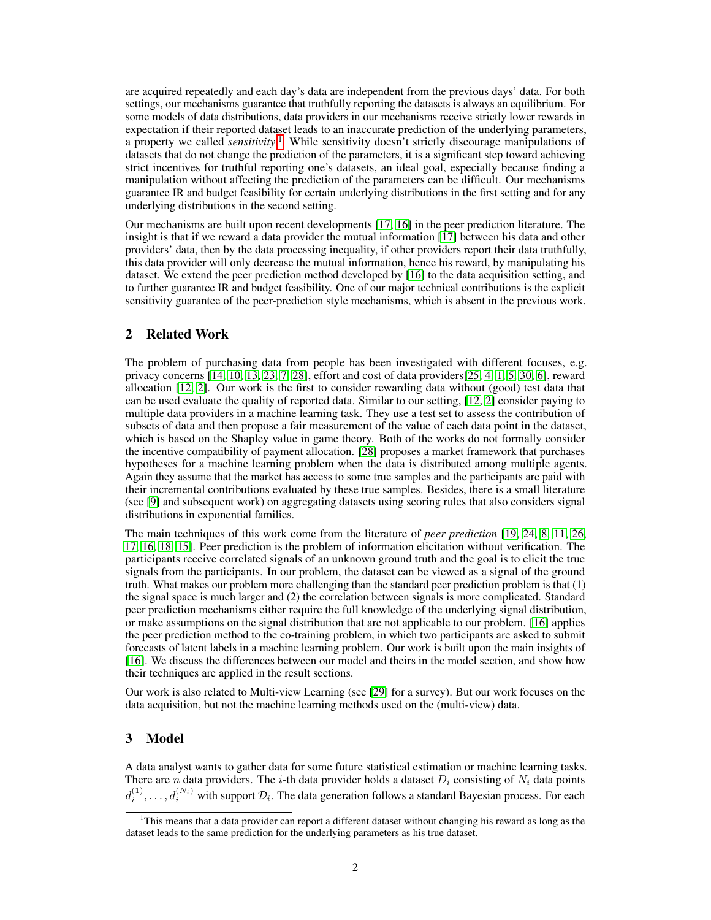are acquired repeatedly and each day's data are independent from the previous days' data. For both settings, our mechanisms guarantee that truthfully reporting the datasets is always an equilibrium. For some models of data distributions, data providers in our mechanisms receive strictly lower rewards in expectation if their reported dataset leads to an inaccurate prediction of the underlying parameters, a property we called *sensitivity*. [1](#page-1-0) While sensitivity doesn't strictly discourage manipulations of datasets that do not change the prediction of the parameters, it is a significant step toward achieving strict incentives for truthful reporting one's datasets, an ideal goal, especially because finding a manipulation without affecting the prediction of the parameters can be difficult. Our mechanisms guarantee IR and budget feasibility for certain underlying distributions in the first setting and for any underlying distributions in the second setting.

Our mechanisms are built upon recent developments [\[17,](#page-10-0) [16\]](#page-10-1) in the peer prediction literature. The insight is that if we reward a data provider the mutual information [\[17\]](#page-10-0) between his data and other providers' data, then by the data processing inequality, if other providers report their data truthfully, this data provider will only decrease the mutual information, hence his reward, by manipulating his dataset. We extend the peer prediction method developed by [\[16\]](#page-10-1) to the data acquisition setting, and to further guarantee IR and budget feasibility. One of our major technical contributions is the explicit sensitivity guarantee of the peer-prediction style mechanisms, which is absent in the previous work.

# 2 Related Work

The problem of purchasing data from people has been investigated with different focuses, e.g. privacy concerns [\[14,](#page-9-0) [10,](#page-9-1) [13,](#page-9-2) [23,](#page-10-2) [7,](#page-9-3) [28\]](#page-10-3), effort and cost of data providers[\[25,](#page-10-4) [4,](#page-9-4) [1,](#page-9-5) [5,](#page-9-6) [30,](#page-10-5) [6\]](#page-9-7), reward allocation [\[12,](#page-9-8) [2\]](#page-9-9). Our work is the first to consider rewarding data without (good) test data that can be used evaluate the quality of reported data. Similar to our setting, [\[12,](#page-9-8) [2\]](#page-9-9) consider paying to multiple data providers in a machine learning task. They use a test set to assess the contribution of subsets of data and then propose a fair measurement of the value of each data point in the dataset, which is based on the Shapley value in game theory. Both of the works do not formally consider the incentive compatibility of payment allocation. [\[28\]](#page-10-3) proposes a market framework that purchases hypotheses for a machine learning problem when the data is distributed among multiple agents. Again they assume that the market has access to some true samples and the participants are paid with their incremental contributions evaluated by these true samples. Besides, there is a small literature (see [\[9\]](#page-9-10) and subsequent work) on aggregating datasets using scoring rules that also considers signal distributions in exponential families.

The main techniques of this work come from the literature of *peer prediction* [\[19,](#page-10-6) [24,](#page-10-7) [8,](#page-9-11) [11,](#page-9-12) [26,](#page-10-8) [17,](#page-10-0) [16,](#page-10-1) [18,](#page-10-9) [15\]](#page-10-10). Peer prediction is the problem of information elicitation without verification. The participants receive correlated signals of an unknown ground truth and the goal is to elicit the true signals from the participants. In our problem, the dataset can be viewed as a signal of the ground truth. What makes our problem more challenging than the standard peer prediction problem is that (1) the signal space is much larger and (2) the correlation between signals is more complicated. Standard peer prediction mechanisms either require the full knowledge of the underlying signal distribution, or make assumptions on the signal distribution that are not applicable to our problem. [\[16\]](#page-10-1) applies the peer prediction method to the co-training problem, in which two participants are asked to submit forecasts of latent labels in a machine learning problem. Our work is built upon the main insights of [\[16\]](#page-10-1). We discuss the differences between our model and theirs in the model section, and show how their techniques are applied in the result sections.

Our work is also related to Multi-view Learning (see [\[29\]](#page-10-11) for a survey). But our work focuses on the data acquisition, but not the machine learning methods used on the (multi-view) data.

#### 3 Model

A data analyst wants to gather data for some future statistical estimation or machine learning tasks. There are n data providers. The *i*-th data provider holds a dataset  $D_i$  consisting of  $N_i$  data points  $d_i^{(1)}, \ldots, d_i^{(N_i)}$  with support  $\mathcal{D}_i$ . The data generation follows a standard Bayesian process. For each

<span id="page-1-0"></span> $1$ This means that a data provider can report a different dataset without changing his reward as long as the dataset leads to the same prediction for the underlying parameters as his true dataset.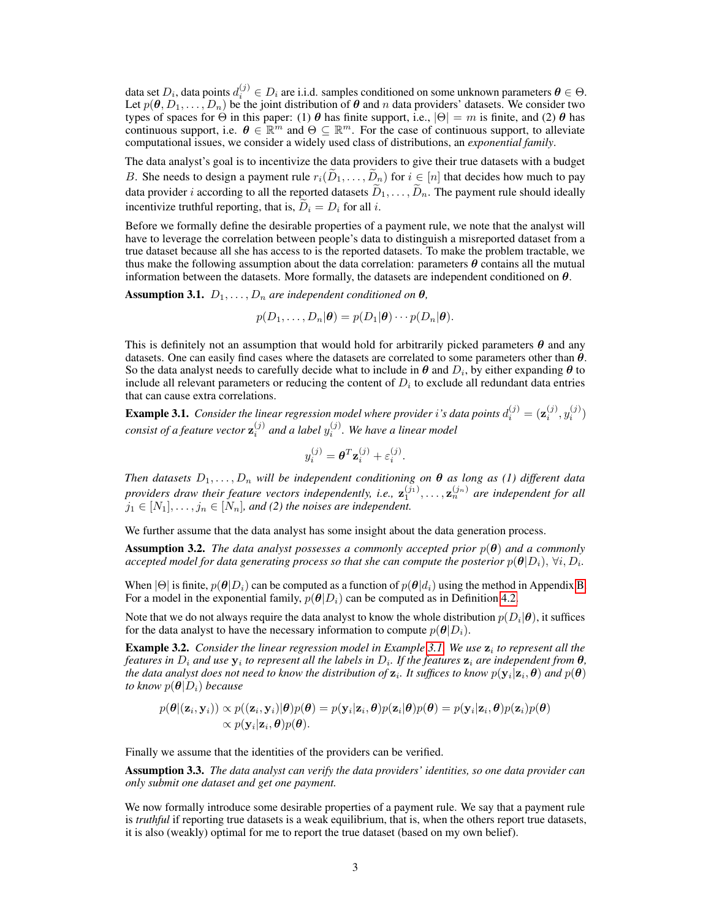data set  $D_i$ , data points  $d_i^{(j)} \in D_i$  are i.i.d. samples conditioned on some unknown parameters  $\bm{\theta} \in \Theta$ . Let  $p(\theta, D_1, \dots, D_n)$  be the joint distribution of  $\theta$  and n data providers' datasets. We consider two types of spaces for  $\Theta$  in this paper: (1)  $\theta$  has finite support, i.e.,  $|\Theta| = m$  is finite, and (2)  $\theta$  has continuous support, i.e.  $\theta \in \mathbb{R}^m$  and  $\Theta \subseteq \mathbb{R}^m$ . For the case of continuous support, to alleviate computational issues, we consider a widely used class of distributions, an *exponential family*.

The data analyst's goal is to incentivize the data providers to give their true datasets with a budget B. She needs to design a payment rule  $r_i(D_1, \ldots, D_n)$  for  $i \in [n]$  that decides how much to pay data provider *i* according to all the reported datasets  $\tilde{D}_1, \ldots, \tilde{D}_n$ . The payment rule should ideally incentivize truthful reporting, that is,  $\overline{D}_i = D_i$  for all i.

Before we formally define the desirable properties of a payment rule, we note that the analyst will have to leverage the correlation between people's data to distinguish a misreported dataset from a true dataset because all she has access to is the reported datasets. To make the problem tractable, we thus make the following assumption about the data correlation: parameters  $\theta$  contains all the mutual information between the datasets. More formally, the datasets are independent conditioned on  $\theta$ .

**Assumption 3.1.**  $D_1, \ldots, D_n$  are independent conditioned on  $\theta$ ,

$$
p(D_1,\ldots,D_n|\boldsymbol{\theta})=p(D_1|\boldsymbol{\theta})\cdots p(D_n|\boldsymbol{\theta}).
$$

This is definitely not an assumption that would hold for arbitrarily picked parameters  $\theta$  and any datasets. One can easily find cases where the datasets are correlated to some parameters other than  $\theta$ . So the data analyst needs to carefully decide what to include in  $\theta$  and  $D_i$ , by either expanding  $\theta$  to include all relevant parameters or reducing the content of  $D_i$  to exclude all redundant data entries that can cause extra correlations.

<span id="page-2-0"></span>**Example 3.1.** Consider the linear regression model where provider i's data points  $d_i^{(j)} = (\mathbf{z}_i^{(j)}, y_i^{(j)})$ consist of a feature vector  $\mathbf{z}^{(j)}_i$  and a label  $y^{(j)}_i$ . We have a linear model

$$
y_i^{(j)} = \boldsymbol{\theta}^T \mathbf{z}_i^{(j)} + \varepsilon_i^{(j)}.
$$

*Then datasets*  $D_1, \ldots, D_n$  *will be independent conditioning on*  $\theta$  *as long as (1) different data* providers draw their feature vectors independently, i.e.,  $\mathbf{z}_1^{(j_1)}, \ldots, \mathbf{z}_n^{(j_n)}$  are independent for all  $j_1 \in [N_1], \ldots, j_n \in [N_n]$ , and (2) the noises are independent.

We further assume that the data analyst has some insight about the data generation process.

**Assumption 3.2.** *The data analyst possesses a commonly accepted prior*  $p(\theta)$  *and a commonly* accepted model for data generating process so that she can compute the posterior  $p(\bm{\theta}|D_i), \, \forall i, D_i.$ 

When  $|\Theta|$  is finite,  $p(\theta|D_i)$  can be computed as a function of  $p(\theta|d_i)$  using the method in Appendix B. For a model in the exponential family,  $p(\theta|D_i)$  can be computed as in Definition [4.2.](#page-4-0)

Note that we do not always require the data analyst to know the whole distribution  $p(D_i|\bm{\theta})$ , it suffices for the data analyst to have the necessary information to compute  $p(\theta|D_i)$ .

<span id="page-2-1"></span>**Example 3.2.** Consider the linear regression model in Example [3.1.](#page-2-0) We use  $z_i$  to represent all the *features in*  $D_i$  *and use*  $y_i$  *to represent all the labels in*  $D_i$ *. If the features*  $z_i$  *are independent from*  $\theta$ *,* the data analyst does not need to know the distribution of  $\mathbf{z}_i$ . It suffices to know  $p(\mathbf{y}_i|\mathbf{z}_i,\bm{\theta})$  and  $p(\bm{\theta})$ *to know*  $p(\theta|D_i)$  *because* 

$$
p(\boldsymbol{\theta} | (\mathbf{z}_i, \mathbf{y}_i)) \propto p((\mathbf{z}_i, \mathbf{y}_i) | \boldsymbol{\theta}) p(\boldsymbol{\theta}) = p(\mathbf{y}_i | \mathbf{z}_i, \boldsymbol{\theta}) p(\mathbf{z}_i | \boldsymbol{\theta}) p(\boldsymbol{\theta}) = p(\mathbf{y}_i | \mathbf{z}_i, \boldsymbol{\theta}) p(\mathbf{z}_i) p(\boldsymbol{\theta}) \propto p(\mathbf{y}_i | \mathbf{z}_i, \boldsymbol{\theta}) p(\boldsymbol{\theta}).
$$

Finally we assume that the identities of the providers can be verified.

Assumption 3.3. *The data analyst can verify the data providers' identities, so one data provider can only submit one dataset and get one payment.*

We now formally introduce some desirable properties of a payment rule. We say that a payment rule is *truthful* if reporting true datasets is a weak equilibrium, that is, when the others report true datasets, it is also (weakly) optimal for me to report the true dataset (based on my own belief).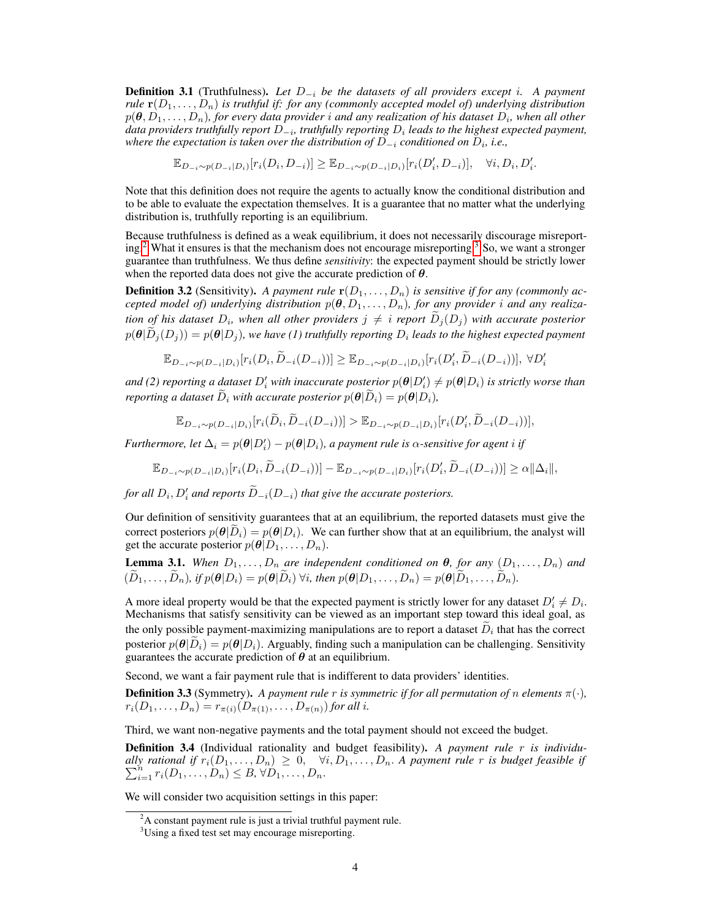Definition 3.1 (Truthfulness). *Let* D−<sup>i</sup> *be the datasets of all providers except* i*. A payment rule*  $\mathbf{r}(D_1,\ldots,D_n)$  *is truthful if: for any (commonly accepted model of) underlying distribution*  $p(\bm{\theta},D_1,\ldots,D_n)$ , for every data provider  $i$  and any realization of his dataset  $D_i$ , when all other *data providers truthfully report*  $D_{-i}$ *, truthfully reporting*  $D_i$  *leads to the highest expected payment, where the expectation is taken over the distribution of*  $D_{-i}$  *conditioned on*  $D_i$ *, i.e.,* 

 $\mathbb{E}_{D_{-i} \sim p(D_{-i}|D_i)}[r_i(D_i, D_{-i})] \geq \mathbb{E}_{D_{-i} \sim p(D_{-i}|D_i)}[r_i(D'_i, D_{-i})], \quad \forall i, D_i, D'_i.$ 

Note that this definition does not require the agents to actually know the conditional distribution and to be able to evaluate the expectation themselves. It is a guarantee that no matter what the underlying distribution is, truthfully reporting is an equilibrium.

Because truthfulness is defined as a weak equilibrium, it does not necessarily discourage misreport-ing.<sup>[2](#page-3-0)</sup> What it ensures is that the mechanism does not encourage misreporting.<sup>[3](#page-3-1)</sup> So, we want a stronger guarantee than truthfulness. We thus define *sensitivity*: the expected payment should be strictly lower when the reported data does not give the accurate prediction of  $\theta$ .

**Definition 3.2** (Sensitivity). A payment rule  $\mathbf{r}(D_1, \ldots, D_n)$  is sensitive if for any (commonly ac*cepted model of) underlying distribution*  $p(\theta, D_1, \ldots, D_n)$ *, for any provider i and any realization of his dataset*  $D_i$ , when all other providers  $j \neq i$  report  $D_j(D_j)$  with accurate posterior  $p(\bm{\theta}|D_j(D_j)) = p(\bm{\theta}|D_j)$ , we have (1) truthfully reporting  $D_i$  leads to the highest expected payment

$$
\mathbb{E}_{D_{-i} \sim p(D_{-i}|D_i)}[r_i(D_i, \widetilde{D}_{-i}(D_{-i}))] \geq \mathbb{E}_{D_{-i} \sim p(D_{-i}|D_i)}[r_i(D_i', \widetilde{D}_{-i}(D_{-i}))], \ \forall D_i'
$$

and (2) reporting a dataset  $D_i'$  with inaccurate posterior  $p(\bm{\theta}|D_i')\neq p(\bm{\theta}|D_i)$  is strictly worse than *reporting a dataset*  $\widetilde{D}_i$  *with accurate posterior*  $p(\boldsymbol{\theta} | \widetilde{D}_i) = p(\boldsymbol{\theta} | D_i)$ *,* 

$$
\mathbb{E}_{D_{-i} \sim p(D_{-i}|D_i)}[r_i(\widetilde{D}_i, \widetilde{D}_{-i}(D_{-i}))] > \mathbb{E}_{D_{-i} \sim p(D_{-i}|D_i)}[r_i(D'_i, \widetilde{D}_{-i}(D_{-i}))],
$$

*Furthermore, let*  $\Delta_i = p(\theta|D'_i) - p(\theta|D_i)$ , a payment rule is  $\alpha$ -sensitive for agent i if

$$
\mathbb{E}_{D_{-i}\sim p(D_{-i}|D_i)}[r_i(D_i,\widetilde{D}_{-i}(D_{-i}))] - \mathbb{E}_{D_{-i}\sim p(D_{-i}|D_i)}[r_i(D_i',\widetilde{D}_{-i}(D_{-i}))] \ge \alpha ||\Delta_i||,
$$

*for all*  $D_i$ ,  $D'_i$  *and reports*  $\widetilde{D}_{-i}(D_{-i})$  *that give the accurate posteriors.* 

Our definition of sensitivity guarantees that at an equilibrium, the reported datasets must give the correct posteriors  $p(\theta|\tilde{D}_i) = p(\theta|D_i)$ . We can further show that at an equilibrium, the analyst will get the accurate posterior  $p(\theta|D_1, \ldots, D_n)$ .

**Lemma 3.1.** When  $D_1, \ldots, D_n$  are independent conditioned on  $\theta$ , for any  $(D_1, \ldots, D_n)$  and  $(\widetilde{D}_1, \ldots, \widetilde{D}_n)$ , if  $p(\boldsymbol{\theta}|D_i) = p(\boldsymbol{\theta}|\widetilde{D}_i)$   $\forall i$ , then  $p(\boldsymbol{\theta}|D_1, \ldots, D_n) = p(\boldsymbol{\theta}|\widetilde{D}_1, \ldots, \widetilde{D}_n)$ .

A more ideal property would be that the expected payment is strictly lower for any dataset  $D_i' \neq D_i$ . Mechanisms that satisfy sensitivity can be viewed as an important step toward this ideal goal, as the only possible payment-maximizing manipulations are to report a dataset  $D_i$  that has the correct posterior  $p(\theta|\overline{D}_i) = p(\theta|D_i)$ . Arguably, finding such a manipulation can be challenging. Sensitivity guarantees the accurate prediction of  $\theta$  at an equilibrium.

Second, we want a fair payment rule that is indifferent to data providers' identities.

**Definition 3.3** (Symmetry). A payment rule r is symmetric if for all permutation of n elements  $\pi(\cdot)$ ,  $r_i(D_1, \ldots, D_n) = r_{\pi(i)}(D_{\pi(1)}, \ldots, D_{\pi(n)})$  *for all i.* 

Third, we want non-negative payments and the total payment should not exceed the budget.

Definition 3.4 (Individual rationality and budget feasibility). *A payment rule* r *is individually rational if*  $\sum$ y rational if  $r_i(D_1, \ldots, D_n) \geq 0$ ,  $\forall i, D_1, \ldots, D_n$ . A payment rule r is budget feasible if  $r_i = r_i(D_1, \ldots, D_n) \leq B$ ,  $\forall D_1, \ldots, D_n$ .

We will consider two acquisition settings in this paper:

<span id="page-3-0"></span> $2A$  constant payment rule is just a trivial truthful payment rule.

<span id="page-3-1"></span><sup>&</sup>lt;sup>3</sup>Using a fixed test set may encourage misreporting.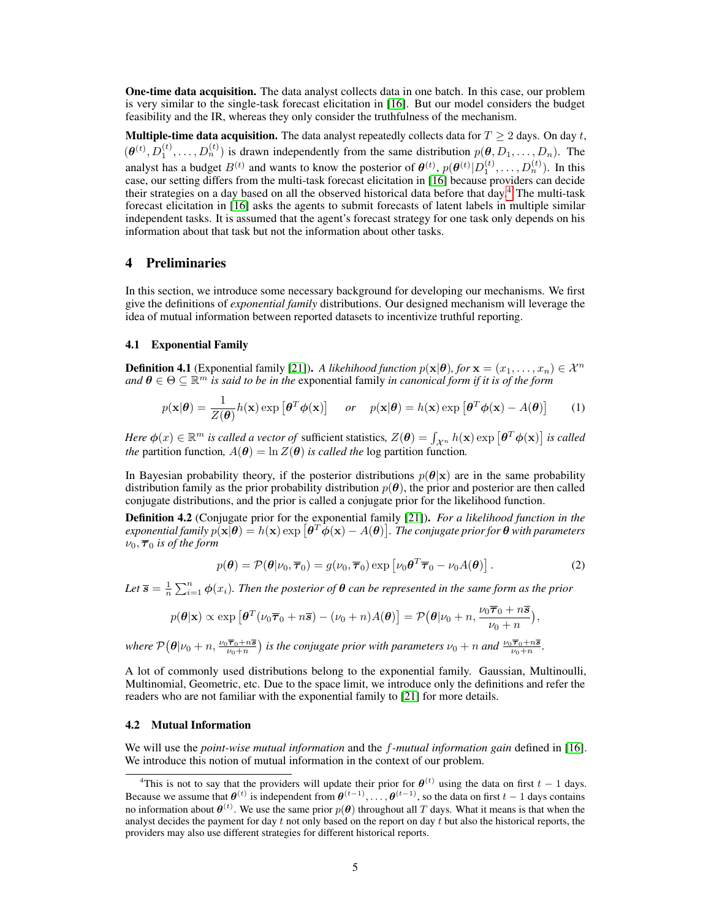One-time data acquisition. The data analyst collects data in one batch. In this case, our problem is very similar to the single-task forecast elicitation in [\[16\]](#page-10-1). But our model considers the budget feasibility and the IR, whereas they only consider the truthfulness of the mechanism.

**Multiple-time data acquisition.** The data analyst repeatedly collects data for  $T \ge 2$  days. On day t,  $(\theta^{(t)}, D_1^{(t)}, \ldots, D_n^{(t)})$  is drawn independently from the same distribution  $p(\theta, D_1, \ldots, D_n)$ . The analyst has a budget  $B^{(t)}$  and wants to know the posterior of  $\theta^{(t)}$ ,  $p(\theta^{(t)}|D_1^{(t)},...,D_n^{(t)})$ . In this case, our setting differs from the multi-task forecast elicitation in [\[16\]](#page-10-1) because providers can decide their strategies on a day based on all the observed historical data before that day.<sup>[4](#page-4-1)</sup> The multi-task forecast elicitation in [\[16\]](#page-10-1) asks the agents to submit forecasts of latent labels in multiple similar independent tasks. It is assumed that the agent's forecast strategy for one task only depends on his information about that task but not the information about other tasks.

## 4 Preliminaries

In this section, we introduce some necessary background for developing our mechanisms. We first give the definitions of *exponential family* distributions. Our designed mechanism will leverage the idea of mutual information between reported datasets to incentivize truthful reporting.

#### 4.1 Exponential Family

**Definition 4.1** (Exponential family [\[21\]](#page-10-12)). *A likehihood function*  $p(\mathbf{x}|\boldsymbol{\theta})$ *, for*  $\mathbf{x} = (x_1, \dots, x_n) \in \mathcal{X}^n$ and  $\theta \in \Theta \subseteq \mathbb{R}^m$  *is said to be in the exponential family in canonical form if it is of the form* 

$$
p(\mathbf{x}|\boldsymbol{\theta}) = \frac{1}{Z(\boldsymbol{\theta})} h(\mathbf{x}) \exp\left[\boldsymbol{\theta}^T \boldsymbol{\phi}(\mathbf{x})\right] \quad or \quad p(\mathbf{x}|\boldsymbol{\theta}) = h(\mathbf{x}) \exp\left[\boldsymbol{\theta}^T \boldsymbol{\phi}(\mathbf{x}) - A(\boldsymbol{\theta})\right] \tag{1}
$$

*Here*  $\phi(x) \in \mathbb{R}^m$  *is called a vector of* sufficient statistics,  $Z(\theta) = \int_{\mathcal{X}^n} h(\mathbf{x}) \exp \left[\theta^T \phi(\mathbf{x})\right]$  *is called the* partition function,  $A(\theta) = \ln Z(\theta)$  *is called the* log partition function.

In Bayesian probability theory, if the posterior distributions  $p(\theta|\mathbf{x})$  are in the same probability distribution family as the prior probability distribution  $p(\theta)$ , the prior and posterior are then called conjugate distributions, and the prior is called a conjugate prior for the likelihood function.

<span id="page-4-0"></span>Definition 4.2 (Conjugate prior for the exponential family [\[21\]](#page-10-12)). *For a likelihood function in the*  $e$ xponential family  $p(\mathbf{x}|\boldsymbol{\theta}) = h(\mathbf{x}) \exp{[\boldsymbol{\theta}^T \boldsymbol{\phi}(\mathbf{x}) - A(\boldsymbol{\theta})]}$  . The conjugate prior for  $\boldsymbol{\theta}$  with parameters  $\nu_0$ ,  $\overline{\tau}_0$  *is of the form* 

$$
p(\boldsymbol{\theta}) = \mathcal{P}(\boldsymbol{\theta}|\nu_0, \overline{\boldsymbol{\tau}}_0) = g(\nu_0, \overline{\boldsymbol{\tau}}_0) \exp \left[\nu_0 \boldsymbol{\theta}^T \overline{\boldsymbol{\tau}}_0 - \nu_0 A(\boldsymbol{\theta})\right]. \tag{2}
$$

Let  $\overline{s} = \frac{1}{n} \sum_{i=1}^{n} \phi(x_i)$ . Then the posterior of  $\theta$  can be represented in the same form as the prior

$$
p(\boldsymbol{\theta}|\mathbf{x}) \propto \exp\left[\boldsymbol{\theta}^T(\nu_0\overline{\boldsymbol{\tau}}_0+n\overline{\mathbf{s}})-(\nu_0+n)A(\boldsymbol{\theta})\right]=\mathcal{P}(\boldsymbol{\theta}|\nu_0+n,\frac{\nu_0\overline{\boldsymbol{\tau}}_0+n\overline{\mathbf{s}}}{\nu_0+n}),
$$

where  $\mathcal{P}(\theta | \nu_0+n, \frac{\nu_0 \overline{\tau}_0+n\overline{s}}{\nu_0+n})$  is the conjugate prior with parameters  $\nu_0+n$  and  $\frac{\nu_0 \overline{\tau}_0+n\overline{s}}{\nu_0+n}$ .

A lot of commonly used distributions belong to the exponential family. Gaussian, Multinoulli, Multinomial, Geometric, etc. Due to the space limit, we introduce only the definitions and refer the readers who are not familiar with the exponential family to [\[21\]](#page-10-12) for more details.

#### 4.2 Mutual Information

We will use the *point-wise mutual information* and the f*-mutual information gain* defined in [\[16\]](#page-10-1). We introduce this notion of mutual information in the context of our problem.

<span id="page-4-1"></span><sup>&</sup>lt;sup>4</sup>This is not to say that the providers will update their prior for  $\theta^{(t)}$  using the data on first  $t - 1$  days. Because we assume that  $\theta^{(t)}$  is independent from  $\theta^{(t-1)}, \dots, \theta^{(t-1)}$ , so the data on first  $t-1$  days contains no information about  $\theta^{(t)}$ . We use the same prior  $p(\theta)$  throughout all T days. What it means is that when the analyst decides the payment for day  $t$  not only based on the report on day  $t$  but also the historical reports, the providers may also use different strategies for different historical reports.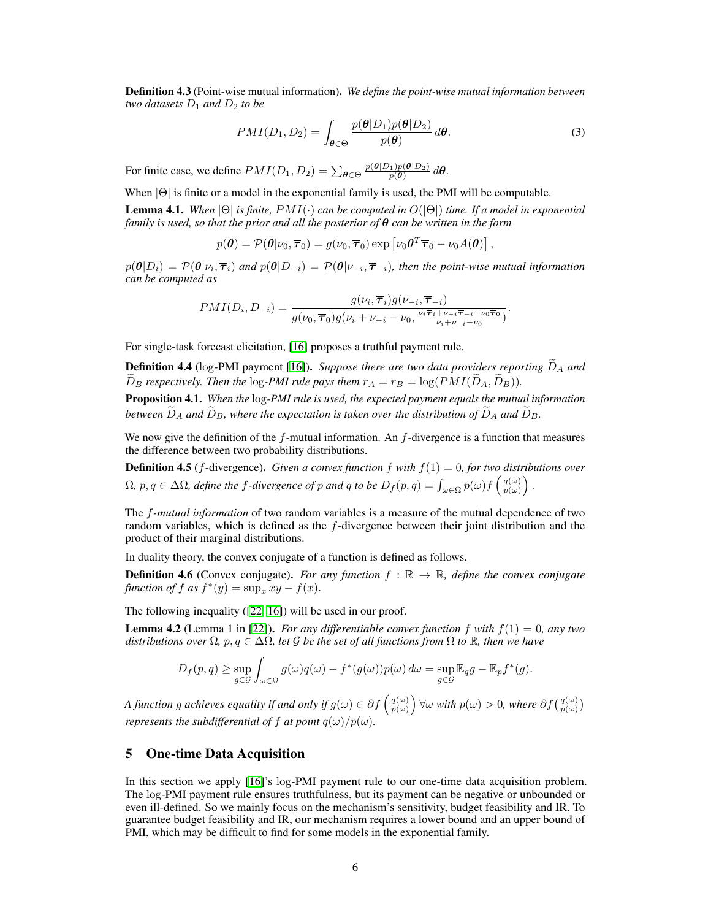Definition 4.3 (Point-wise mutual information). *We define the point-wise mutual information between two datasets*  $D_1$  *and*  $D_2$  *to be* 

$$
PMI(D_1, D_2) = \int_{\theta \in \Theta} \frac{p(\theta | D_1) p(\theta | D_2)}{p(\theta)} d\theta.
$$
 (3)

For finite case, we define  $PMI(D_1, D_2) = \sum_{\theta \in \Theta} \frac{p(\theta | D_1)p(\theta | D_2)}{p(\theta)} d\theta$ .

When  $|\Theta|$  is finite or a model in the exponential family is used, the PMI will be computable.

<span id="page-5-0"></span>Lemma 4.1. *When* |Θ| *is finite,* PMI(·) *can be computed in* O(|Θ|) *time. If a model in exponential family is used, so that the prior and all the posterior of* θ *can be written in the form*

$$
p(\boldsymbol{\theta}) = \mathcal{P}(\boldsymbol{\theta}|\nu_0, \boldsymbol{\overline{\tau}}_0) = g(\nu_0, \boldsymbol{\overline{\tau}}_0) \exp \left[\nu_0 \boldsymbol{\theta}^T \boldsymbol{\overline{\tau}}_0 - \nu_0 A(\boldsymbol{\theta})\right],
$$

 $p(\theta|D_i) = \mathcal{P}(\theta|\nu_i, \overline{\boldsymbol{\tau}}_i)$  and  $p(\theta|D_{-i}) = \mathcal{P}(\theta|\nu_{-i}, \overline{\boldsymbol{\tau}}_{-i})$ , then the point-wise mutual information *can be computed as*

$$
PMI(D_i, D_{-i}) = \frac{g(\nu_i, \overline{\boldsymbol{\tau}}_i)g(\nu_{-i}, \overline{\boldsymbol{\tau}}_{-i})}{g(\nu_0, \overline{\boldsymbol{\tau}}_0)g(\nu_i + \nu_{-i} - \nu_0, \frac{\nu_i \overline{\boldsymbol{\tau}}_i + \nu_{-i} \overline{\boldsymbol{\tau}}_{-i} - \nu_0 \overline{\boldsymbol{\tau}}_0}{\nu_i + \nu_{-i} - \nu_0}}).
$$

For single-task forecast elicitation, [\[16\]](#page-10-1) proposes a truthful payment rule.

**Definition 4.4** (log-PMI payment [\[16\]](#page-10-1)). *Suppose there are two data providers reporting*  $\ddot{D}_A$  *and*  $\widetilde{D}_B$  *respectively. Then the* log-PMI rule pays them  $r_A = r_B = \log(PMI(\widetilde{D}_A, \widetilde{D}_B))$ .

<span id="page-5-1"></span>Proposition 4.1. *When the* log*-PMI rule is used, the expected payment equals the mutual information between*  $D_A$  *and*  $D_B$ *, where the expectation is taken over the distribution of*  $\widetilde{D}_A$  *and*  $\widetilde{D}_B$ *.* 

We now give the definition of the  $f$ -mutual information. An  $f$ -divergence is a function that measures the difference between two probability distributions.

**Definition 4.5** (*f*-divergence). *Given a convex function*  $f$  *with*  $f(1) = 0$ *, for two distributions over*  $\Omega$ ,  $p, q \in \Delta\Omega$ , define the f-divergence of p and q to be  $D_f(p,q) = \int_{\omega \in \Omega} p(\omega) f(\frac{q(\omega)}{p(\omega)})$  $\frac{q(\omega)}{p(\omega)}\bigg)$ .

The f*-mutual information* of two random variables is a measure of the mutual dependence of two random variables, which is defined as the f-divergence between their joint distribution and the product of their marginal distributions.

In duality theory, the convex conjugate of a function is defined as follows.

<span id="page-5-3"></span>**Definition 4.6** (Convex conjugate). *For any function*  $f : \mathbb{R} \to \mathbb{R}$ *, define the convex conjugate function of*  $f$  *as*  $f^*(y) = \sup_x xy - f(x)$ .

The following inequality ([\[22,](#page-10-13) [16\]](#page-10-1)) will be used in our proof.

<span id="page-5-4"></span>Lemma 4.2 (Lemma 1 in [\[22\]](#page-10-13)). *For any differentiable convex function* f *with* f(1) = 0*, any two distributions over*  $\Omega$ *, p<sub>,</sub> q*  $\in \Delta\Omega$ *, let* G *be the set of all functions from*  $\Omega$  *to*  $\mathbb{R}$ *, then we have* 

$$
D_f(p,q) \ge \sup_{g \in \mathcal{G}} \int_{\omega \in \Omega} g(\omega)q(\omega) - f^*(g(\omega))p(\omega) d\omega = \sup_{g \in \mathcal{G}} \mathbb{E}_q g - \mathbb{E}_p f^*(g).
$$

*A function g achieves equality if and only if*  $g(\omega) \in \partial f\left(\frac{q(\omega)}{p(\omega)}\right)$  $\frac{q(\omega)}{p(\omega)}$   $\big\}$   $\forall \omega$  *with*  $p(\omega) > 0$ , *where*  $\partial f(\frac{q(\omega)}{p(\omega)})$ *represents the subdifferential of* f *at point*  $q(\omega)/p(\omega)$ *.* 

#### <span id="page-5-2"></span>5 One-time Data Acquisition

In this section we apply [\[16\]](#page-10-1)'s log-PMI payment rule to our one-time data acquisition problem. The log-PMI payment rule ensures truthfulness, but its payment can be negative or unbounded or even ill-defined. So we mainly focus on the mechanism's sensitivity, budget feasibility and IR. To guarantee budget feasibility and IR, our mechanism requires a lower bound and an upper bound of PMI, which may be difficult to find for some models in the exponential family.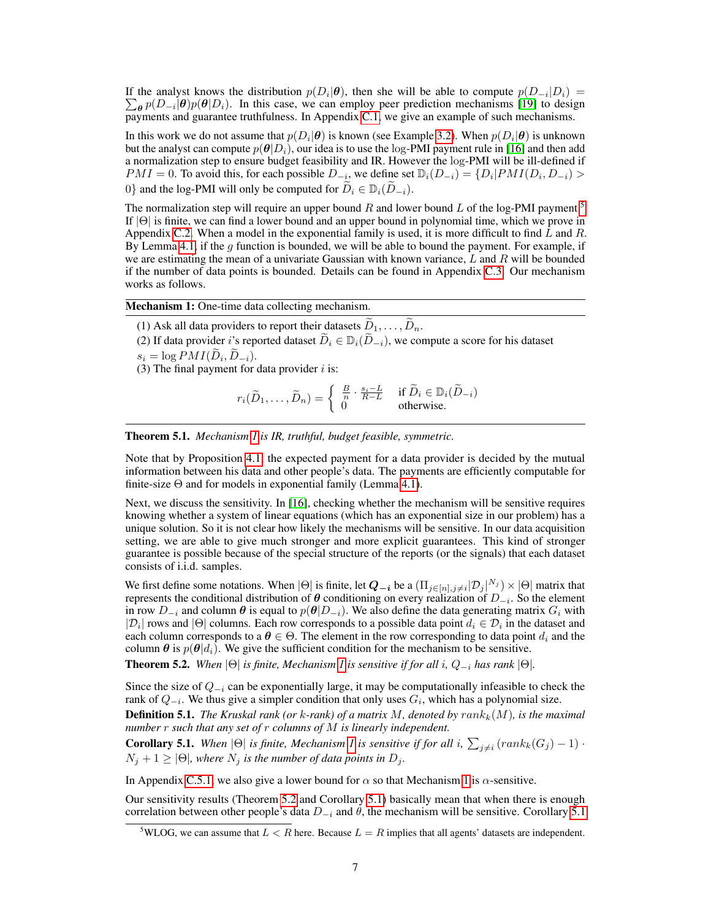If the analyst knows the distribution  $p(D_i|\theta)$ , then she will be able to compute  $p(D_{-i}|D_i)$  =  $\sum_{\theta} p(D_{-i}|\theta) p(\theta|D_i)$ . In this case, we can employ peer prediction mechanisms [\[19\]](#page-10-6) to design payments and guarantee truthfulness. In Appendix C.1, we give an example of such mechanisms.

In this work we do not assume that  $p(D_i|\theta)$  is known (see Example [3.2\)](#page-2-1). When  $p(D_i|\theta)$  is unknown but the analyst can compute  $p(\theta|D_i)$ , our idea is to use the log-PMI payment rule in [\[16\]](#page-10-1) and then add a normalization step to ensure budget feasibility and IR. However the log-PMI will be ill-defined if  $PMI = 0$ . To avoid this, for each possible  $D_{-i}$ , we define set  $\mathbb{D}_{i}(D_{-i}) = \{D_{i} | PMI(D_{i}, D_{-i}) >$ 0} and the log-PMI will only be computed for  $\widetilde{D}_i \in D_i(\widetilde{D}_{-i})$ .

The normalization step will require an upper bound R and lower bound L of the log-PMI payment.<sup>[5](#page-6-0)</sup> If |Θ| is finite, we can find a lower bound and an upper bound in polynomial time, which we prove in Appendix C.2. When a model in the exponential family is used, it is more difficult to find  $L$  and  $R$ . By Lemma [4.1,](#page-5-0) if the g function is bounded, we will be able to bound the payment. For example, if we are estimating the mean of a univariate Gaussian with known variance,  $L$  and  $R$  will be bounded if the number of data points is bounded. Details can be found in Appendix C.3. Our mechanism works as follows.

Mechanism 1: One-time data collecting mechanism.

(1) Ask all data providers to report their datasets  $\widetilde{D}_1, \ldots, \widetilde{D}_n$ .

(2) If data provider i's reported dataset  $\widetilde{D}_i \in \mathbb{D}_i(\widetilde{D}_{-i})$ , we compute a score for his dataset

 $s_i = \log PMI(D_i, D_{-i}).$ 

(3) The final payment for data provider  $i$  is:

$$
r_i(\widetilde{D}_1,\ldots,\widetilde{D}_n) = \begin{cases} \frac{B}{n} \cdot \frac{s_i - L}{R - L} & \text{if } \widetilde{D}_i \in \mathbb{D}_i(\widetilde{D}_{-i})\\ 0 & \text{otherwise.} \end{cases}
$$

<span id="page-6-1"></span>Theorem 5.1. *Mechanism [1](#page-6-1) is IR, truthful, budget feasible, symmetric.*

Note that by Proposition [4.1,](#page-5-1) the expected payment for a data provider is decided by the mutual information between his data and other people's data. The payments are efficiently computable for finite-size  $\Theta$  and for models in exponential family (Lemma [4.1\)](#page-5-0).

Next, we discuss the sensitivity. In [\[16\]](#page-10-1), checking whether the mechanism will be sensitive requires knowing whether a system of linear equations (which has an exponential size in our problem) has a unique solution. So it is not clear how likely the mechanisms will be sensitive. In our data acquisition setting, we are able to give much stronger and more explicit guarantees. This kind of stronger guarantee is possible because of the special structure of the reports (or the signals) that each dataset consists of i.i.d. samples.

We first define some notations. When  $|\Theta|$  is finite, let  $Q_{-i}$  be a  $(\prod_{j\in[n],j\neq i}|\mathcal{D}_j|^{N_j})\times |\Theta|$  matrix that represents the conditional distribution of  $\theta$  conditioning on every realization of  $D_{-i}$ . So the element in row  $D_{-i}$  and column  $\theta$  is equal to  $p(\theta|D_{-i})$ . We also define the data generating matrix  $G_i$  with  $|\mathcal{D}_i|$  rows and  $|\Theta|$  columns. Each row corresponds to a possible data point  $d_i \in \mathcal{D}_i$  in the dataset and each column corresponds to a  $\theta \in \Theta$ . The element in the row corresponding to data point  $d_i$  and the column  $\theta$  is  $p(\theta|d_i)$ . We give the sufficient condition for the mechanism to be sensitive.

<span id="page-6-2"></span>**Theorem 5.2.** *When*  $|\Theta|$  *is finite, Mechanism 1 is sensitive if for all i*,  $Q_{-i}$  *has rank*  $|\Theta|$ *.* 

Since the size of  $Q_{-i}$  can be exponentially large, it may be computationally infeasible to check the rank of  $Q_{-i}$ . We thus give a simpler condition that only uses  $G_i$ , which has a polynomial size.

**Definition 5.1.** *The Kruskal rank (or k-rank) of a matrix*  $M$ , denoted by  $rank_k(M)$ , is the maximal *number* r *such that any set of* r *columns of* M *is linearly independent.*

<span id="page-6-3"></span>**Corollary 5.1.** When  $|\Theta|$  is finite, Mechanism [1](#page-6-1) is sensitive if for all i,  $\sum_{j\neq i} (rank_k(G_j) - 1)$ .  $N_j + 1 \geq |\Theta|$ *, where*  $N_j$  *is the number of data points in*  $D_j$ *.* 

In Appendix C.5.1, we also give a lower bound for  $\alpha$  so that Mechanism [1](#page-6-1) is  $\alpha$ -sensitive.

Our sensitivity results (Theorem [5.2](#page-6-2) and Corollary [5.1\)](#page-6-3) basically mean that when there is enough correlation between other people's data  $D_{-i}$  and  $\theta$ , the mechanism will be sensitive. Corollary [5.1](#page-6-3)

<span id="page-6-0"></span><sup>&</sup>lt;sup>5</sup>WLOG, we can assume that  $L < R$  here. Because  $L = R$  implies that all agents' datasets are independent.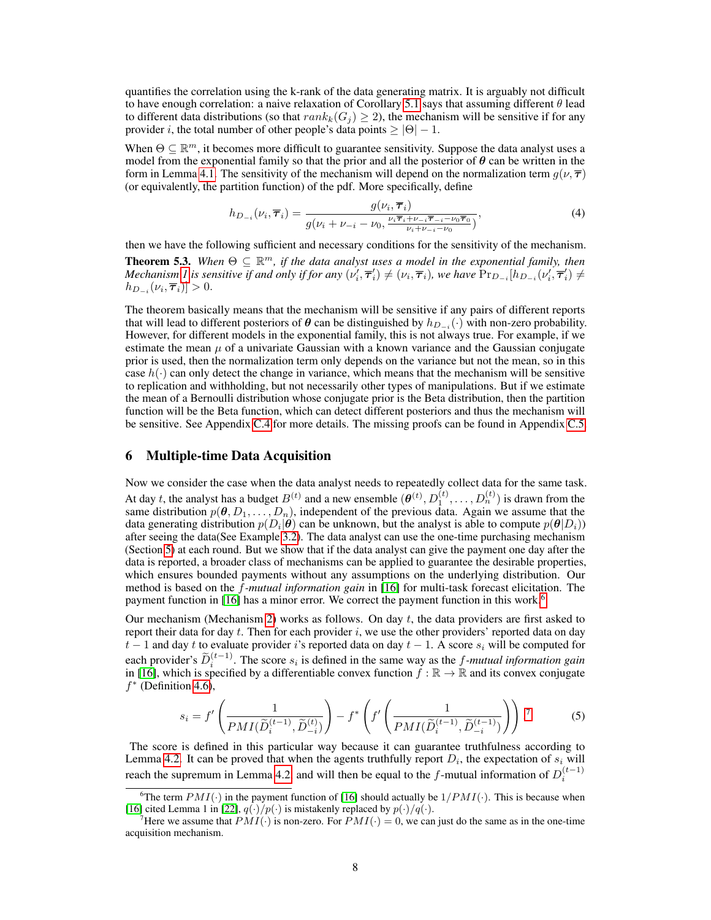quantifies the correlation using the k-rank of the data generating matrix. It is arguably not difficult to have enough correlation: a naive relaxation of Corollary [5.1](#page-6-3) says that assuming different  $\theta$  lead to different data distributions (so that  $rank_k(G_i) \ge 2$ ), the mechanism will be sensitive if for any provider i, the total number of other people's data points  $\geq |\Theta| - 1$ .

When  $\Theta \subseteq \mathbb{R}^m$ , it becomes more difficult to guarantee sensitivity. Suppose the data analyst uses a model from the exponential family so that the prior and all the posterior of  $\theta$  can be written in the form in Lemma [4.1.](#page-5-0) The sensitivity of the mechanism will depend on the normalization term  $q(\nu, \overline{\tau})$ (or equivalently, the partition function) of the pdf. More specifically, define

$$
h_{D_{-i}}(\nu_i, \overline{\tau}_i) = \frac{g(\nu_i, \overline{\tau}_i)}{g(\nu_i + \nu_{-i} - \nu_0, \frac{\nu_i \overline{\tau}_i + \nu_{-i} \overline{\tau}_{-i} - \nu_0 \overline{\tau}_0}{\nu_i + \nu_{-i} - \nu_0})},\tag{4}
$$

then we have the following sufficient and necessary conditions for the sensitivity of the mechanism.

**Theorem 5.3.** When  $\Theta \subseteq \mathbb{R}^m$ , if the data analyst uses a model in the exponential family, then *Mechanism* [1](#page-6-1) is sensitive if and only if for any  $(\nu'_i, \overline{\tau}'_i) \neq (\nu_i, \overline{\tau}_i)$ , we have  $Pr_{D_{-i}}[h_{D_{-i}}(\nu'_i, \overline{\tau}'_i) \neq$  $h_{D_{-i}}(\nu_i, \overline{\boldsymbol{\tau}}_i) ] > 0.$ 

The theorem basically means that the mechanism will be sensitive if any pairs of different reports that will lead to different posteriors of  $\theta$  can be distinguished by  $h_{D_{-i}}(\cdot)$  with non-zero probability. However, for different models in the exponential family, this is not always true. For example, if we estimate the mean  $\mu$  of a univariate Gaussian with a known variance and the Gaussian conjugate prior is used, then the normalization term only depends on the variance but not the mean, so in this case  $h(\cdot)$  can only detect the change in variance, which means that the mechanism will be sensitive to replication and withholding, but not necessarily other types of manipulations. But if we estimate the mean of a Bernoulli distribution whose conjugate prior is the Beta distribution, then the partition function will be the Beta function, which can detect different posteriors and thus the mechanism will be sensitive. See Appendix C.4 for more details. The missing proofs can be found in Appendix C.5.

## 6 Multiple-time Data Acquisition

Now we consider the case when the data analyst needs to repeatedly collect data for the same task. At day t, the analyst has a budget  $B^{(t)}$  and a new ensemble  $(\theta^{(t)}, D_1^{(t)}, \dots, D_n^{(t)})$  is drawn from the same distribution  $p(\theta, D_1, \ldots, D_n)$ , independent of the previous data. Again we assume that the data generating distribution  $p(D_i|\theta)$  can be unknown, but the analyst is able to compute  $p(\theta|D_i)$ ) after seeing the data(See Example [3.2\)](#page-2-1). The data analyst can use the one-time purchasing mechanism (Section [5\)](#page-5-2) at each round. But we show that if the data analyst can give the payment one day after the data is reported, a broader class of mechanisms can be applied to guarantee the desirable properties, which ensures bounded payments without any assumptions on the underlying distribution. Our method is based on the f*-mutual information gain* in [\[16\]](#page-10-1) for multi-task forecast elicitation. The payment function in [\[16\]](#page-10-1) has a minor error. We correct the payment function in this work.<sup>[6](#page-7-0)</sup>

Our mechanism (Mechanism [2\)](#page-8-0) works as follows. On day  $t$ , the data providers are first asked to report their data for day t. Then for each provider i, we use the other providers' reported data on day  $t-1$  and day t to evaluate provider i's reported data on day  $t-1$ . A score  $s_i$  will be computed for each provider's  $\widetilde{D}_i^{(t-1)}$ . The score  $s_i$  is defined in the same way as the *f-mutual information gain* in [\[16\]](#page-10-1), which is specified by a differentiable convex function  $\check{f} : \mathbb{R} \to \mathbb{R}$  and its convex conjugate  $f^*$  (Definition [4.6\)](#page-5-3),

<span id="page-7-2"></span>
$$
s_i = f'\left(\frac{1}{PMI(\widetilde{D}_i^{(t-1)}, \widetilde{D}_{-i}^{(t)})}\right) - f^*\left(f'\left(\frac{1}{PMI(\widetilde{D}_i^{(t-1)}, \widetilde{D}_{-i}^{(t-1)})}\right)\right).
$$
\n(5)

The score is defined in this particular way because it can guarantee truthfulness according to Lemma [4.2.](#page-5-4) It can be proved that when the agents truthfully report  $D_i$ , the expectation of  $s_i$  will reach the supremum in Lemma [4.2,](#page-5-4) and will then be equal to the f-mutual information of  $D_i^{(t-1)}$ 

<span id="page-7-0"></span><sup>&</sup>lt;sup>6</sup>The term  $PMI(\cdot)$  in the payment function of [\[16\]](#page-10-1) should actually be  $1/PMI(\cdot)$ . This is because when [\[16\]](#page-10-1) cited Lemma 1 in [\[22\]](#page-10-13),  $q(\cdot)/p(\cdot)$  is mistakenly replaced by  $p(\cdot)/q(\cdot)$ .

<span id="page-7-1"></span>Here we assume that  $PMI(\cdot)$  is non-zero. For  $PMI(\cdot) = 0$ , we can just do the same as in the one-time acquisition mechanism.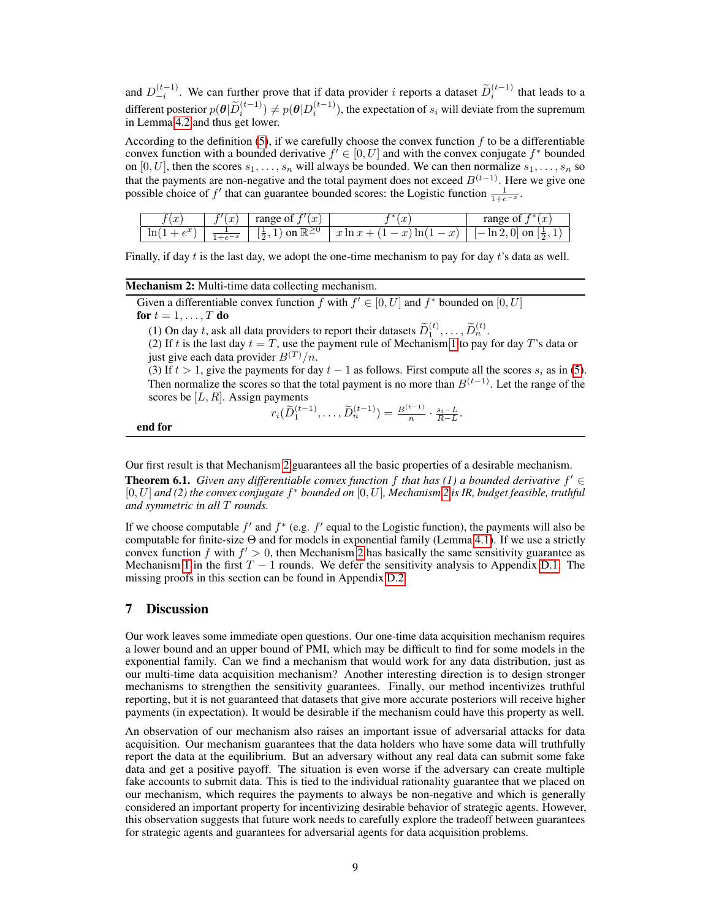and  $D_{-i}^{(t-1)}$ . We can further prove that if data provider i reports a dataset  $\widetilde{D}_i^{(t-1)}$  that leads to a different posterior  $p(\theta|\widetilde{D}_i^{(t-1)}) \neq p(\theta|D_i^{(t-1)})$ , the expectation of  $s_i$  will deviate from the supremum in Lemma [4.2](#page-5-4) and thus get lower.

According to the definition [\(5\)](#page-7-2), if we carefully choose the convex function  $f$  to be a differentiable convex function with a bounded derivative  $f' \in [0, U]$  and with the convex conjugate  $f^*$  bounded on [0, U], then the scores  $s_1, \ldots, s_n$  will always be bounded. We can then normalize  $s_1, \ldots, s_n$  so that the payments are non-negative and the total payment does not exceed  $B^{(t-1)}$ . Here we give one possible choice of f' that can guarantee bounded scores: the Logistic function  $\frac{1}{1+e^{-x}}$ .

| $\curvearrowright$<br>$\cdot$ | $\sim$<br>IJ | $\boldsymbol{x}$<br>0Ī<br>range                         | . ac                                                                            | £∗<br>$\boldsymbol{x}$<br>range<br>0İ |
|-------------------------------|--------------|---------------------------------------------------------|---------------------------------------------------------------------------------|---------------------------------------|
| $\sim$<br>١n<br>- 11          |              | on $\mathbb{R}^{\geq}$<br>$\mathbf{v}$<br>∸<br>$\Omega$ | $- x$<br>ln(<br>$\mathbf{r}$<br>$\infty$<br>w<br>$\boldsymbol{\omega}$<br>111 W | U<br>on<br>ш4.<br>$\Omega$            |

Finally, if day t is the last day, we adopt the one-time mechanism to pay for day t's data as well.

#### Mechanism 2: Multi-time data collecting mechanism.

Given a differentiable convex function f with  $f' \in [0, U]$  and  $f^*$  bounded on  $[0, U]$ for  $t = 1, \ldots, T$  do

(1) On day t, ask all data providers to report their datasets  $\widetilde{D}_1^{(t)}, \ldots, \widetilde{D}_n^{(t)}$ .

(2) If t is the last day  $t = T$ , use the payment rule of Mechanism [1](#page-6-1) to pay for day T's data or just give each data provider  $B^{(T)}/n$ .

(3) If  $t > 1$ , give the payments for day  $t - 1$  as follows. First compute all the scores  $s_i$  as in [\(5\)](#page-7-2). Then normalize the scores so that the total payment is no more than  $B^{(t-1)}$ . Let the range of the scores be  $[L, R]$ . Assign payments

$$
r_i(\widetilde{D}_1^{(t-1)}, \ldots, \widetilde{D}_n^{(t-1)}) = \frac{B^{(t-1)}}{n} \cdot \frac{s_i - L}{R - L}.
$$

<span id="page-8-0"></span>end for

Our first result is that Mechanism [2](#page-8-0) guarantees all the basic properties of a desirable mechanism.

**Theorem 6.1.** *Given any differentiable convex function*  $f$  *that has (1) a bounded derivative*  $f' \in$ [0, U] *and (2) the convex conjugate* f <sup>∗</sup> *bounded on* [0, U]*, Mechanism [2](#page-8-0) is IR, budget feasible, truthful and symmetric in all* T *rounds.*

If we choose computable  $f'$  and  $f^*$  (e.g.  $f'$  equal to the Logistic function), the payments will also be computable for finite-size Θ and for models in exponential family (Lemma [4.1\)](#page-5-0). If we use a strictly convex function f with  $f' > 0$ , then Mechanism [2](#page-8-0) has basically the same sensitivity guarantee as Mechanism [1](#page-6-1) in the first  $T - 1$  rounds. We defer the sensitivity analysis to Appendix D.1. The missing proofs in this section can be found in Appendix D.2.

#### 7 Discussion

Our work leaves some immediate open questions. Our one-time data acquisition mechanism requires a lower bound and an upper bound of PMI, which may be difficult to find for some models in the exponential family. Can we find a mechanism that would work for any data distribution, just as our multi-time data acquisition mechanism? Another interesting direction is to design stronger mechanisms to strengthen the sensitivity guarantees. Finally, our method incentivizes truthful reporting, but it is not guaranteed that datasets that give more accurate posteriors will receive higher payments (in expectation). It would be desirable if the mechanism could have this property as well.

An observation of our mechanism also raises an important issue of adversarial attacks for data acquisition. Our mechanism guarantees that the data holders who have some data will truthfully report the data at the equilibrium. But an adversary without any real data can submit some fake data and get a positive payoff. The situation is even worse if the adversary can create multiple fake accounts to submit data. This is tied to the individual rationality guarantee that we placed on our mechanism, which requires the payments to always be non-negative and which is generally considered an important property for incentivizing desirable behavior of strategic agents. However, this observation suggests that future work needs to carefully explore the tradeoff between guarantees for strategic agents and guarantees for adversarial agents for data acquisition problems.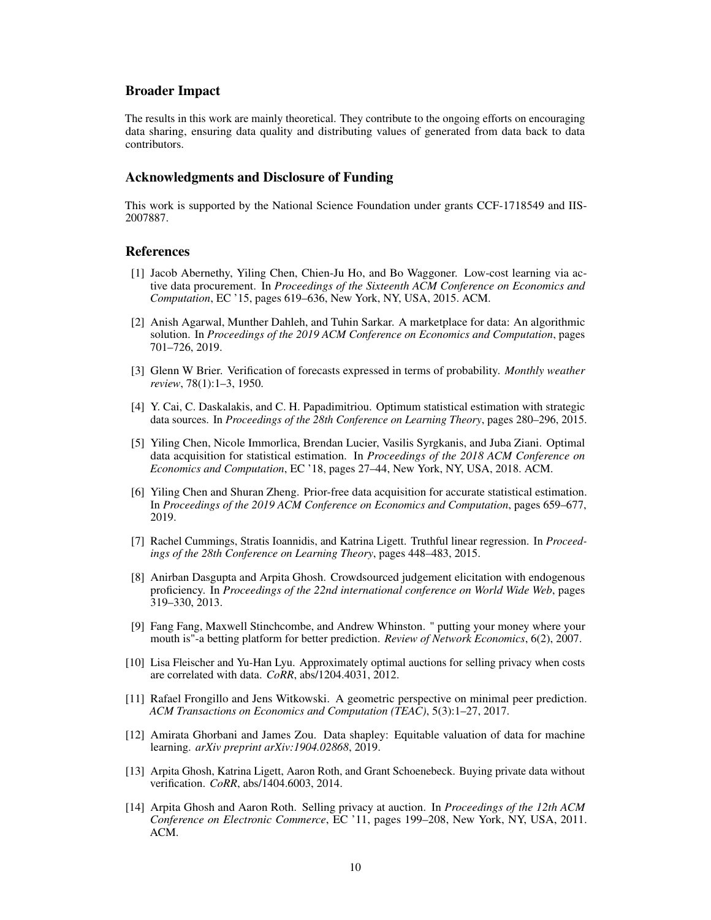#### Broader Impact

The results in this work are mainly theoretical. They contribute to the ongoing efforts on encouraging data sharing, ensuring data quality and distributing values of generated from data back to data contributors.

#### Acknowledgments and Disclosure of Funding

This work is supported by the National Science Foundation under grants CCF-1718549 and IIS-2007887.

#### References

- <span id="page-9-5"></span>[1] Jacob Abernethy, Yiling Chen, Chien-Ju Ho, and Bo Waggoner. Low-cost learning via active data procurement. In *Proceedings of the Sixteenth ACM Conference on Economics and Computation*, EC '15, pages 619–636, New York, NY, USA, 2015. ACM.
- <span id="page-9-9"></span>[2] Anish Agarwal, Munther Dahleh, and Tuhin Sarkar. A marketplace for data: An algorithmic solution. In *Proceedings of the 2019 ACM Conference on Economics and Computation*, pages 701–726, 2019.
- [3] Glenn W Brier. Verification of forecasts expressed in terms of probability. *Monthly weather review*, 78(1):1–3, 1950.
- <span id="page-9-4"></span>[4] Y. Cai, C. Daskalakis, and C. H. Papadimitriou. Optimum statistical estimation with strategic data sources. In *Proceedings of the 28th Conference on Learning Theory*, pages 280–296, 2015.
- <span id="page-9-6"></span>[5] Yiling Chen, Nicole Immorlica, Brendan Lucier, Vasilis Syrgkanis, and Juba Ziani. Optimal data acquisition for statistical estimation. In *Proceedings of the 2018 ACM Conference on Economics and Computation*, EC '18, pages 27–44, New York, NY, USA, 2018. ACM.
- <span id="page-9-7"></span>[6] Yiling Chen and Shuran Zheng. Prior-free data acquisition for accurate statistical estimation. In *Proceedings of the 2019 ACM Conference on Economics and Computation*, pages 659–677, 2019.
- <span id="page-9-3"></span>[7] Rachel Cummings, Stratis Ioannidis, and Katrina Ligett. Truthful linear regression. In *Proceedings of the 28th Conference on Learning Theory*, pages 448–483, 2015.
- <span id="page-9-11"></span>[8] Anirban Dasgupta and Arpita Ghosh. Crowdsourced judgement elicitation with endogenous proficiency. In *Proceedings of the 22nd international conference on World Wide Web*, pages 319–330, 2013.
- <span id="page-9-10"></span>[9] Fang Fang, Maxwell Stinchcombe, and Andrew Whinston. " putting your money where your mouth is"-a betting platform for better prediction. *Review of Network Economics*, 6(2), 2007.
- <span id="page-9-1"></span>[10] Lisa Fleischer and Yu-Han Lyu. Approximately optimal auctions for selling privacy when costs are correlated with data. *CoRR*, abs/1204.4031, 2012.
- <span id="page-9-12"></span>[11] Rafael Frongillo and Jens Witkowski. A geometric perspective on minimal peer prediction. *ACM Transactions on Economics and Computation (TEAC)*, 5(3):1–27, 2017.
- <span id="page-9-8"></span>[12] Amirata Ghorbani and James Zou. Data shapley: Equitable valuation of data for machine learning. *arXiv preprint arXiv:1904.02868*, 2019.
- <span id="page-9-2"></span>[13] Arpita Ghosh, Katrina Ligett, Aaron Roth, and Grant Schoenebeck. Buying private data without verification. *CoRR*, abs/1404.6003, 2014.
- <span id="page-9-0"></span>[14] Arpita Ghosh and Aaron Roth. Selling privacy at auction. In *Proceedings of the 12th ACM Conference on Electronic Commerce*, EC '11, pages 199–208, New York, NY, USA, 2011. ACM.